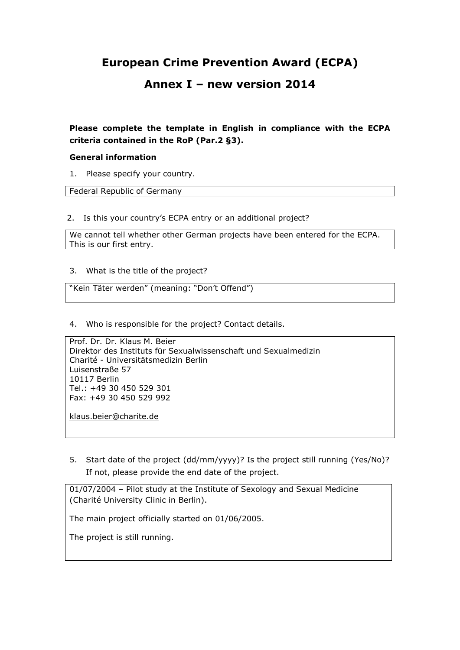# **European Crime Prevention Award (ECPA)**

## **Annex I – new version 2014**

## **Please complete the template in English in compliance with the ECPA criteria contained in the RoP (Par.2 §3).**

#### **General information**

1. Please specify your country.

Federal Republic of Germany

2. Is this your country's ECPA entry or an additional project?

We cannot tell whether other German projects have been entered for the ECPA. This is our first entry.

3. What is the title of the project?

"Kein Täter werden" (meaning: "Don't Offend")

4. Who is responsible for the project? Contact details.

Prof. Dr. Dr. Klaus M. Beier Direktor des Instituts für Sexualwissenschaft und Sexualmedizin Charité - Universitätsmedizin Berlin Luisenstraße 57 10117 Berlin Tel.: +49 30 450 529 301 Fax: +49 30 450 529 992

[klaus.beier@charite.de](mailto:klaus.beier@charite.de)

5. Start date of the project (dd/mm/yyyy)? Is the project still running (Yes/No)? If not, please provide the end date of the project.

01/07/2004 – Pilot study at the Institute of Sexology and Sexual Medicine (Charité University Clinic in Berlin).

The main project officially started on 01/06/2005.

The project is still running.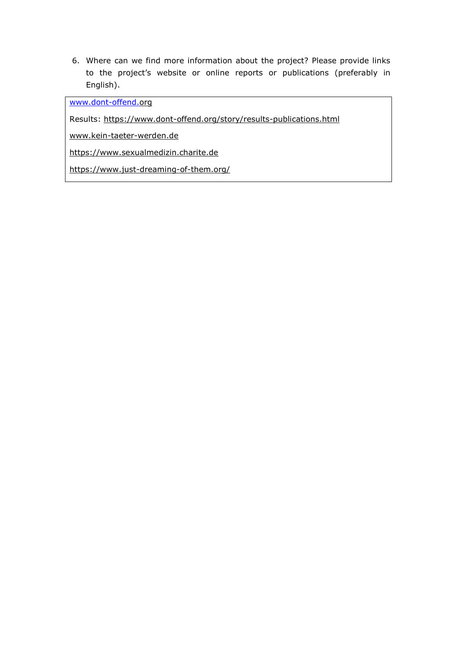6. Where can we find more information about the project? Please provide links to the project's website or online reports or publications (preferably in English).

[www.dont-offend.o](http://www.dont-offend./)rg

Results:<https://www.dont-offend.org/story/results-publications.html>

[www.kein-taeter-werden.de](http://www.kein-taeter-werden.de/)

[https://www.sexualmedizin.charite.de](https://www.sexualmedizin.charite.de/metas/baustelle/)

<https://www.just-dreaming-of-them.org/>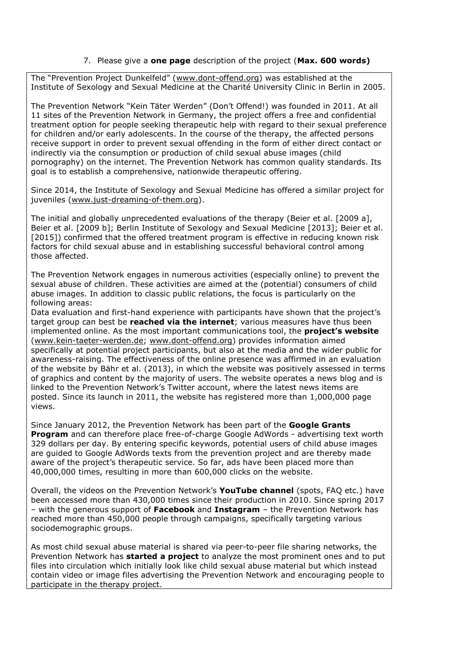#### 7. Please give a **one page** description of the project (**Max. 600 words)**

The "Prevention Project Dunkelfeld" ([www.dont-offend.org\)](http://www.dont-offend.org/) was established at the Institute of Sexology and Sexual Medicine at the Charité University Clinic in Berlin in 2005.

The Prevention Network "Kein Täter Werden" (Don't Offend!) was founded in 2011. At all 11 sites of the Prevention Network in Germany, the project offers a free and confidential treatment option for people seeking therapeutic help with regard to their sexual preference for children and/or early adolescents. In the course of the therapy, the affected persons receive support in order to prevent sexual offending in the form of either direct contact or indirectly via the consumption or production of child sexual abuse images (child pornography) on the internet. The Prevention Network has common quality standards. Its goal is to establish a comprehensive, nationwide therapeutic offering.

Since 2014, the Institute of Sexology and Sexual Medicine has offered a similar project for juveniles [\(www.just-dreaming-of-them.org\)](http://www.just-dreaming-of-them.org/).

The initial and globally unprecedented evaluations of the therapy (Beier et al. [2009 a], Beier et al. [2009 b]; Berlin Institute of Sexology and Sexual Medicine [2013]; Beier et al. [2015]) confirmed that the offered treatment program is effective in reducing known risk factors for child sexual abuse and in establishing successful behavioral control among those affected.

The Prevention Network engages in numerous activities (especially online) to prevent the sexual abuse of children. These activities are aimed at the (potential) consumers of child abuse images. In addition to classic public relations, the focus is particularly on the following areas:

Data evaluation and first-hand experience with participants have shown that the project's target group can best be **reached via the internet**; various measures have thus been implemented online. As the most important communications tool, the **project's website** [\(www.kein-taeter-werden.de;](http://www.kein-taeter-werden.de/) [www.dont-offend.org\)](http://www.dont-offend.org/) provides information aimed specifically at potential project participants, but also at the media and the wider public for awareness-raising. The effectiveness of the online presence was affirmed in an evaluation of the website by Bähr et al. (2013), in which the website was positively assessed in terms of graphics and content by the majority of users. The website operates a news blog and is linked to the Prevention Network's Twitter account, where the latest news items are posted. Since its launch in 2011, the website has registered more than 1,000,000 page views.

Since January 2012, the Prevention Network has been part of the **Google Grants Program** and can therefore place free-of-charge Google AdWords - advertising text worth 329 dollars per day. By entering specific keywords, potential users of child abuse images are guided to Google AdWords texts from the prevention project and are thereby made aware of the project's therapeutic service. So far, ads have been placed more than 40,000,000 times, resulting in more than 600,000 clicks on the website.

Overall, the videos on the Prevention Network's **YouTube channel** (spots, FAQ etc.) have been accessed more than 430,000 times since their production in 2010. Since spring 2017 – with the generous support of **Facebook** and **Instagram** – the Prevention Network has reached more than 450,000 people through campaigns, specifically targeting various sociodemographic groups.

As most child sexual abuse material is shared via peer-to-peer file sharing networks, the Prevention Network has **started a project** to analyze the most prominent ones and to put files into circulation which initially look like child sexual abuse material but which instead contain video or image files advertising the Prevention Network and encouraging people to participate in the therapy project.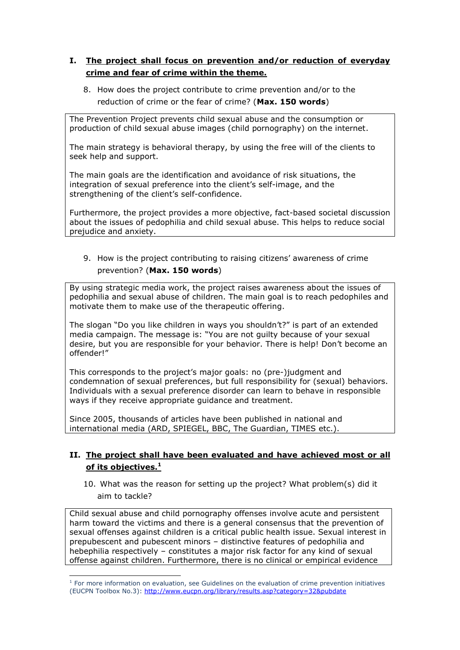## **I. The project shall focus on prevention and/or reduction of everyday crime and fear of crime within the theme.**

8. How does the project contribute to crime prevention and/or to the reduction of crime or the fear of crime? (**Max. 150 words**)

The Prevention Project prevents child sexual abuse and the consumption or production of child sexual abuse images (child pornography) on the internet.

The main strategy is behavioral therapy, by using the free will of the clients to seek help and support.

The main goals are the identification and avoidance of risk situations, the integration of sexual preference into the client's self-image, and the strengthening of the client's self-confidence.

Furthermore, the project provides a more objective, fact-based societal discussion about the issues of pedophilia and child sexual abuse. This helps to reduce social prejudice and anxiety.

9. How is the project contributing to raising citizens' awareness of crime prevention? (**Max. 150 words**)

By using strategic media work, the project raises awareness about the issues of pedophilia and sexual abuse of children. The main goal is to reach pedophiles and motivate them to make use of the therapeutic offering.

The slogan "Do you like children in ways you shouldn't?" is part of an extended media campaign. The message is: "You are not guilty because of your sexual desire, but you are responsible for your behavior. There is help! Don't become an offender!"

This corresponds to the project's major goals: no (pre-)judgment and condemnation of sexual preferences, but full responsibility for (sexual) behaviors. Individuals with a sexual preference disorder can learn to behave in responsible ways if they receive appropriate guidance and treatment.

Since 2005, thousands of articles have been published in national and international media (ARD, SPIEGEL, BBC, The Guardian, TIMES etc.).

## **II. The project shall have been evaluated and have achieved most or all of its objectives.<sup>1</sup>**

10. What was the reason for setting up the project? What problem(s) did it aim to tackle?

Child sexual abuse and child pornography offenses involve acute and persistent harm toward the victims and there is a general consensus that the prevention of sexual offenses against children is a critical public health issue. Sexual interest in prepubescent and pubescent minors – distinctive features of pedophilia and hebephilia respectively – constitutes a major risk factor for any kind of sexual offense against children. Furthermore, there is no clinical or empirical evidence

<sup>-</sup><sup>1</sup> For more information on evaluation, see Guidelines on the evaluation of crime prevention initiatives (EUCPN Toolbox No.3): <http://www.eucpn.org/library/results.asp?category=32&pubdate>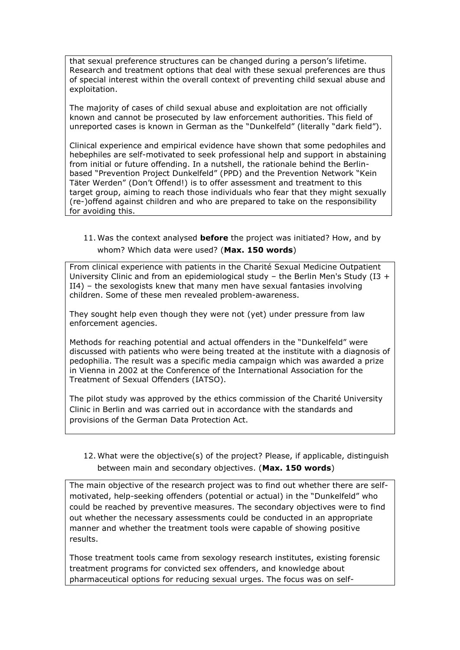that sexual preference structures can be changed during a person's lifetime. Research and treatment options that deal with these sexual preferences are thus of special interest within the overall context of preventing child sexual abuse and exploitation.

The majority of cases of child sexual abuse and exploitation are not officially known and cannot be prosecuted by law enforcement authorities. This field of unreported cases is known in German as the "Dunkelfeld" (literally "dark field").

Clinical experience and empirical evidence have shown that some pedophiles and hebephiles are self-motivated to seek professional help and support in abstaining from initial or future offending. In a nutshell, the rationale behind the Berlinbased "Prevention Project Dunkelfeld" (PPD) and the Prevention Network "Kein Täter Werden" (Don't Offend!) is to offer assessment and treatment to this target group, aiming to reach those individuals who fear that they might sexually (re-)offend against children and who are prepared to take on the responsibility for avoiding this.

#### 11. Was the context analysed **before** the project was initiated? How, and by whom? Which data were used? (**Max. 150 words**)

From clinical experience with patients in the Charité Sexual Medicine Outpatient University Clinic and from an epidemiological study – the Berlin Men's Study (I3 + II4) – the sexologists knew that many men have sexual fantasies involving children. Some of these men revealed problem-awareness.

They sought help even though they were not (yet) under pressure from law enforcement agencies.

Methods for reaching potential and actual offenders in the "Dunkelfeld" were discussed with patients who were being treated at the institute with a diagnosis of pedophilia. The result was a specific media campaign which was awarded a prize in Vienna in 2002 at the Conference of the International Association for the Treatment of Sexual Offenders (IATSO).

The pilot study was approved by the ethics commission of the Charité University Clinic in Berlin and was carried out in accordance with the standards and provisions of the German Data Protection Act.

### 12. What were the objective(s) of the project? Please, if applicable, distinguish between main and secondary objectives. (**Max. 150 words**)

The main objective of the research project was to find out whether there are selfmotivated, help-seeking offenders (potential or actual) in the "Dunkelfeld" who could be reached by preventive measures. The secondary objectives were to find out whether the necessary assessments could be conducted in an appropriate manner and whether the treatment tools were capable of showing positive results.

Those treatment tools came from sexology research institutes, existing forensic treatment programs for convicted sex offenders, and knowledge about pharmaceutical options for reducing sexual urges. The focus was on self-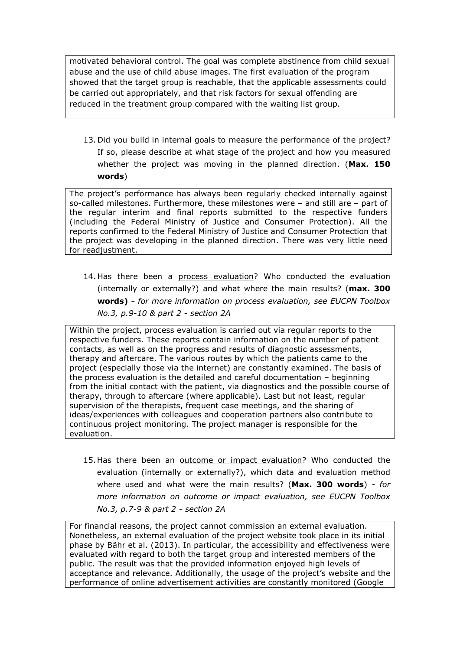motivated behavioral control. The goal was complete abstinence from child sexual abuse and the use of child abuse images. The first evaluation of the program showed that the target group is reachable, that the applicable assessments could be carried out appropriately, and that risk factors for sexual offending are reduced in the treatment group compared with the waiting list group.

13. Did you build in internal goals to measure the performance of the project? If so, please describe at what stage of the project and how you measured whether the project was moving in the planned direction. (**Max. 150 words**)

The project's performance has always been regularly checked internally against so-called milestones. Furthermore, these milestones were – and still are – part of the regular interim and final reports submitted to the respective funders (including the Federal Ministry of Justice and Consumer Protection). All the reports confirmed to the Federal Ministry of Justice and Consumer Protection that the project was developing in the planned direction. There was very little need for readjustment.

14. Has there been a process evaluation? Who conducted the evaluation (internally or externally?) and what where the main results? (**max. 300 words) -** *for more information on process evaluation, see EUCPN Toolbox No.3, p.9-10 & part 2 - section 2A*

Within the project, process evaluation is carried out via regular reports to the respective funders. These reports contain information on the number of patient contacts, as well as on the progress and results of diagnostic assessments, therapy and aftercare. The various routes by which the patients came to the project (especially those via the internet) are constantly examined. The basis of the process evaluation is the detailed and careful documentation – beginning from the initial contact with the patient, via diagnostics and the possible course of therapy, through to aftercare (where applicable). Last but not least, regular supervision of the therapists, frequent case meetings, and the sharing of ideas/experiences with colleagues and cooperation partners also contribute to continuous project monitoring. The project manager is responsible for the evaluation.

15. Has there been an outcome or impact evaluation? Who conducted the evaluation (internally or externally?), which data and evaluation method where used and what were the main results? (**Max. 300 words**) *- for more information on outcome or impact evaluation, see EUCPN Toolbox No.3, p.7-9 & part 2 - section 2A*

For financial reasons, the project cannot commission an external evaluation. Nonetheless, an external evaluation of the project website took place in its initial phase by Bähr et al. (2013). In particular, the accessibility and effectiveness were evaluated with regard to both the target group and interested members of the public. The result was that the provided information enjoyed high levels of acceptance and relevance. Additionally, the usage of the project's website and the performance of online advertisement activities are constantly monitored (Google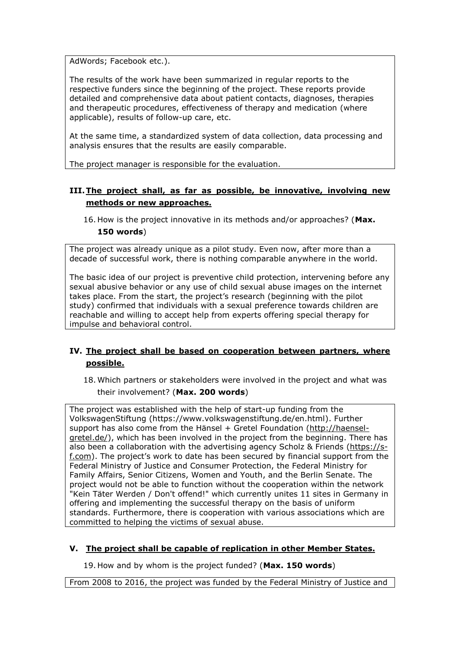AdWords; Facebook etc.).

The results of the work have been summarized in regular reports to the respective funders since the beginning of the project. These reports provide detailed and comprehensive data about patient contacts, diagnoses, therapies and therapeutic procedures, effectiveness of therapy and medication (where applicable), results of follow-up care, etc.

At the same time, a standardized system of data collection, data processing and analysis ensures that the results are easily comparable.

The project manager is responsible for the evaluation.

## **III.The project shall, as far as possible, be innovative, involving new methods or new approaches.**

16. How is the project innovative in its methods and/or approaches? (**Max. 150 words**)

The project was already unique as a pilot study. Even now, after more than a decade of successful work, there is nothing comparable anywhere in the world.

The basic idea of our project is preventive child protection, intervening before any sexual abusive behavior or any use of child sexual abuse images on the internet takes place. From the start, the project's research (beginning with the pilot study) confirmed that individuals with a sexual preference towards children are reachable and willing to accept help from experts offering special therapy for impulse and behavioral control.

## **IV. The project shall be based on cooperation between partners, where possible.**

18. Which partners or stakeholders were involved in the project and what was their involvement? (**Max. 200 words**)

The project was established with the help of start-up funding from the VolkswagenStiftung (https://www.volkswagenstiftung.de/en.html). Further support has also come from the Hänsel + Gretel Foundation [\(http://haensel](http://haensel-gretel.de/)[gretel.de/\)](http://haensel-gretel.de/), which has been involved in the project from the beginning. There has also been a collaboration with the advertising agency Scholz & Friends [\(https://s](https://s-f.com/)[f.com\)](https://s-f.com/). The project's work to date has been secured by financial support from the Federal Ministry of Justice and Consumer Protection, the Federal Ministry for Family Affairs, Senior Citizens, Women and Youth, and the Berlin Senate. The project would not be able to function without the cooperation within the network "Kein Täter Werden / Don't offend!" which currently unites 11 sites in Germany in offering and implementing the successful therapy on the basis of uniform standards. Furthermore, there is cooperation with various associations which are committed to helping the victims of sexual abuse.

#### **V. The project shall be capable of replication in other Member States.**

19. How and by whom is the project funded? (**Max. 150 words**)

From 2008 to 2016, the project was funded by the Federal Ministry of Justice and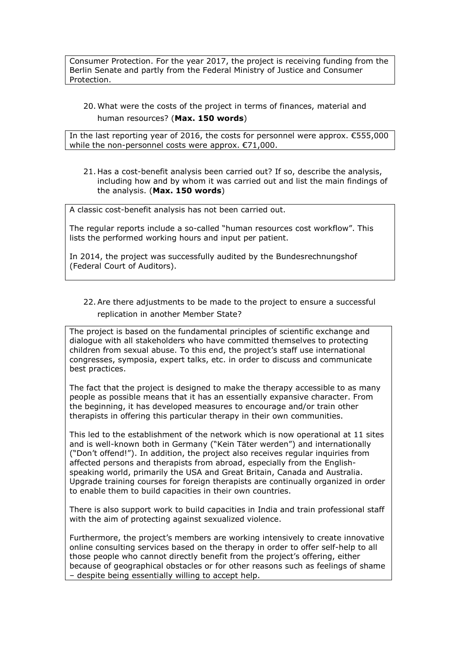Consumer Protection. For the year 2017, the project is receiving funding from the Berlin Senate and partly from the Federal Ministry of Justice and Consumer Protection.

20. What were the costs of the project in terms of finances, material and human resources? (**Max. 150 words**)

In the last reporting year of 2016, the costs for personnel were approx. €555,000 while the non-personnel costs were approx. €71,000.

21. Has a cost-benefit analysis been carried out? If so, describe the analysis, including how and by whom it was carried out and list the main findings of the analysis. (**Max. 150 words**)

A classic cost-benefit analysis has not been carried out.

The regular reports include a so-called "human resources cost workflow". This lists the performed working hours and input per patient.

In 2014, the project was successfully audited by the Bundesrechnungshof (Federal Court of Auditors).

#### 22.Are there adjustments to be made to the project to ensure a successful replication in another Member State?

The project is based on the fundamental principles of scientific exchange and dialogue with all stakeholders who have committed themselves to protecting children from sexual abuse. To this end, the project's staff use international congresses, symposia, expert talks, etc. in order to discuss and communicate best practices.

The fact that the project is designed to make the therapy accessible to as many people as possible means that it has an essentially expansive character. From the beginning, it has developed measures to encourage and/or train other therapists in offering this particular therapy in their own communities.

This led to the establishment of the network which is now operational at 11 sites and is well-known both in Germany ("Kein Täter werden") and internationally ("Don't offend!"). In addition, the project also receives regular inquiries from affected persons and therapists from abroad, especially from the Englishspeaking world, primarily the USA and Great Britain, Canada and Australia. Upgrade training courses for foreign therapists are continually organized in order to enable them to build capacities in their own countries.

There is also support work to build capacities in India and train professional staff with the aim of protecting against sexualized violence.

Furthermore, the project's members are working intensively to create innovative online consulting services based on the therapy in order to offer self-help to all those people who cannot directly benefit from the project's offering, either because of geographical obstacles or for other reasons such as feelings of shame – despite being essentially willing to accept help.